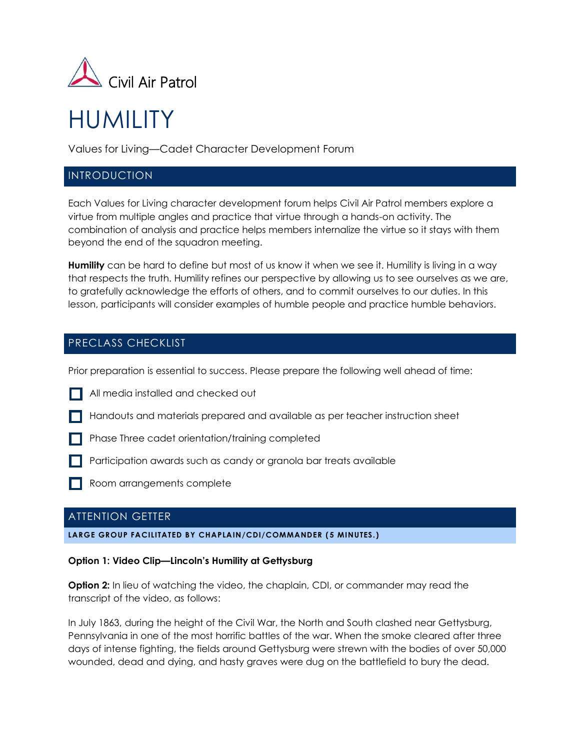

# HUMILITY

Values for Living—Cadet Character Development Forum

# INTRODUCTION

Each Values for Living character development forum helps Civil Air Patrol members explore a virtue from multiple angles and practice that virtue through a hands-on activity. The combination of analysis and practice helps members internalize the virtue so it stays with them beyond the end of the squadron meeting.

**Humility** can be hard to define but most of us know it when we see it. Humility is living in a way that respects the truth. Humility refines our perspective by allowing us to see ourselves as we are, to gratefully acknowledge the efforts of others, and to commit ourselves to our duties. In this lesson, participants will consider examples of humble people and practice humble behaviors.

# PRECLASS CHECKLIST

Prior preparation is essential to success. Please prepare the following well ahead of time:

- **All media installed and checked out**
- Handouts and materials prepared and available as per teacher instruction sheet
- **Phase Three cadet orientation/training completed**
- **Participation awards such as candy or granola bar treats available**
- Room arrangements complete

# ATTENTION GETTER

## **LARGE GROUP FACILITATED BY CHAPLAIN/CDI/COMMANDER ( 5 MINUTES.)**

## **Option 1: Video Clip—Lincoln's Humility at Gettysburg**

**Option 2:** In lieu of watching the video, the chaplain, CDI, or commander may read the transcript of the video, as follows:

In July 1863, during the height of the Civil War, the North and South clashed near Gettysburg, Pennsylvania in one of the most horrific battles of the war. When the smoke cleared after three days of intense fighting, the fields around Gettysburg were strewn with the bodies of over 50,000 wounded, dead and dying, and hasty graves were dug on the battlefield to bury the dead.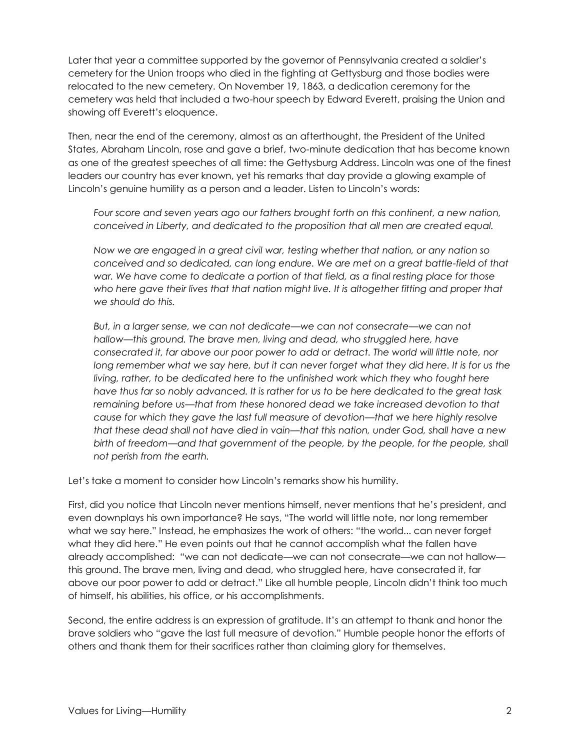Later that year a committee supported by the governor of Pennsylvania created a soldier's cemetery for the Union troops who died in the fighting at Gettysburg and those bodies were relocated to the new cemetery. On November 19, 1863, a dedication ceremony for the cemetery was held that included a two-hour speech by Edward Everett, praising the Union and showing off Everett's eloquence.

Then, near the end of the ceremony, almost as an afterthought, the President of the United States, Abraham Lincoln, rose and gave a brief, two-minute dedication that has become known as one of the greatest speeches of all time: the Gettysburg Address. Lincoln was one of the finest leaders our country has ever known, yet his remarks that day provide a glowing example of Lincoln's genuine humility as a person and a leader. Listen to Lincoln's words:

*Four score and seven years ago our fathers brought forth on this continent, a new nation, conceived in Liberty, and dedicated to the proposition that all men are created equal.*

*Now we are engaged in a great civil war, testing whether that nation, or any nation so conceived and so dedicated, can long endure. We are met on a great battle-field of that war. We have come to dedicate a portion of that field, as a final resting place for those*  who here gave their lives that that nation might live. It is altogether fitting and proper that *we should do this.*

*But, in a larger sense, we can not dedicate—we can not consecrate—we can not hallow—this ground. The brave men, living and dead, who struggled here, have consecrated it, far above our poor power to add or detract. The world will little note, nor*  long remember what we say here, but it can never forget what they did here. It is for us the *living, rather, to be dedicated here to the unfinished work which they who fought here have thus far so nobly advanced. It is rather for us to be here dedicated to the great task remaining before us—that from these honored dead we take increased devotion to that cause for which they gave the last full measure of devotion—that we here highly resolve that these dead shall not have died in vain—that this nation, under God, shall have a new birth of freedom—and that government of the people, by the people, for the people, shall not perish from the earth.*

Let's take a moment to consider how Lincoln's remarks show his humility.

First, did you notice that Lincoln never mentions himself, never mentions that he's president, and even downplays his own importance? He says, "The world will little note, nor long remember what we say here." Instead, he emphasizes the work of others: "the world... can never forget what they did here." He even points out that he cannot accomplish what the fallen have already accomplished: "we can not dedicate—we can not consecrate—we can not hallow this ground. The brave men, living and dead, who struggled here, have consecrated it, far above our poor power to add or detract." Like all humble people, Lincoln didn't think too much of himself, his abilities, his office, or his accomplishments.

Second, the entire address is an expression of gratitude. It's an attempt to thank and honor the brave soldiers who "gave the last full measure of devotion." Humble people honor the efforts of others and thank them for their sacrifices rather than claiming glory for themselves.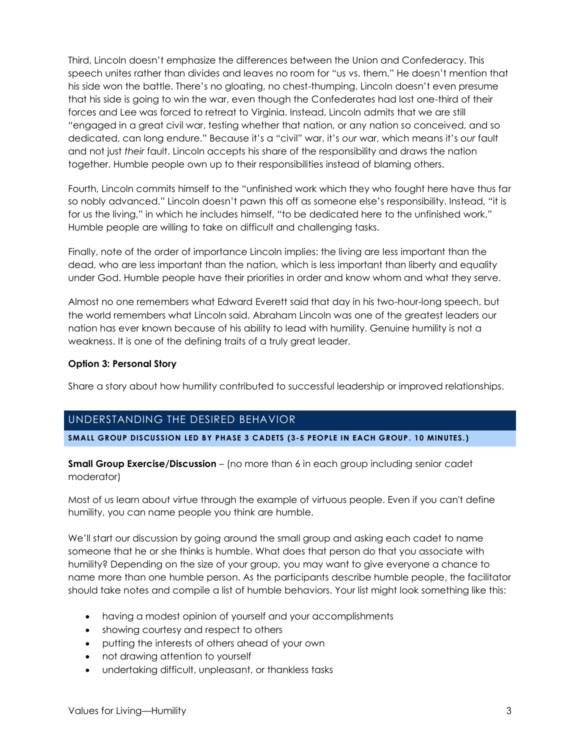Third, Lincoln doesn't emphasize the differences between the Union and Confederacy. This speech unites rather than divides and leaves no room for "us vs. them." He doesn't mention that his side won the battle. There's no gloating, no chest-thumping. Lincoln doesn't even presume that his side is going to win the war, even though the Confederates had lost one-third of their forces and Lee was forced to retreat to Virginia. Instead, Lincoln admits that we are still "engaged in a great civil war, testing whether that nation, or any nation so conceived, and so dedicated, can long endure." Because it's a "civil" war, it's *our* war, which means it's *our* fault and not just *their* fault. Lincoln accepts his share of the responsibility and draws the nation together. Humble people own up to their responsibilities instead of blaming others.

Fourth, Lincoln commits himself to the "unfinished work which they who fought here have thus far so nobly advanced." Lincoln doesn't pawn this off as someone else's responsibility. Instead, "it is for us the living," in which he includes himself, "to be dedicated here to the unfinished work." Humble people are willing to take on difficult and challenging tasks.

Finally, note of the order of importance Lincoln implies: the living are less important than the dead, who are less important than the nation, which is less important than liberty and equality under God. Humble people have their priorities in order and know whom and what they serve.

Almost no one remembers what Edward Everett said that day in his two-hour-long speech, but the world remembers what Lincoln said. Abraham Lincoln was one of the greatest leaders our nation has ever known because of his ability to lead with humility. Genuine humility is not a weakness. It is one of the defining traits of a truly great leader.

## **Option 3: Personal Story**

Share a story about how humility contributed to successful leadership or improved relationships.

## UNDERSTANDING THE DESIRED BEHAVIOR

**SMALL GROUP DISCUSSION LED BY PHASE 3 CADETS (3-5 PEOPLE IN EACH GROUP. 10 MINUTES.)**

**Small Group Exercise/Discussion** – (no more than 6 in each group including senior cadet moderator)

Most of us learn about virtue through the example of virtuous people. Even if you can't define humility, you can name people you think are humble.

We'll start our discussion by going around the small group and asking each cadet to name someone that he or she thinks is humble. What does that person do that you associate with humility? Depending on the size of your group, you may want to give everyone a chance to name more than one humble person. As the participants describe humble people, the facilitator should take notes and compile a list of humble behaviors. Your list might look something like this:

- having a modest opinion of yourself and your accomplishments
- showing courtesy and respect to others
- putting the interests of others ahead of your own
- not drawing attention to yourself
- undertaking difficult, unpleasant, or thankless tasks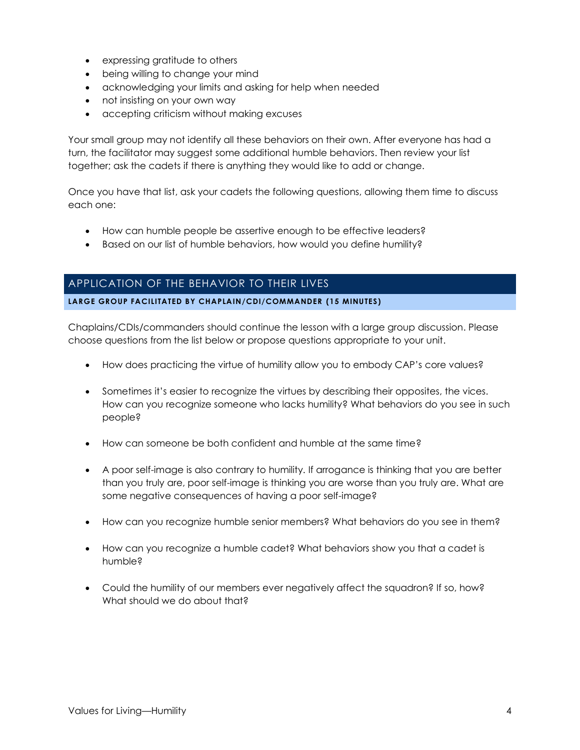- expressing gratitude to others
- being willing to change your mind
- acknowledging your limits and asking for help when needed
- not insisting on your own way
- accepting criticism without making excuses

Your small group may not identify all these behaviors on their own. After everyone has had a turn, the facilitator may suggest some additional humble behaviors. Then review your list together; ask the cadets if there is anything they would like to add or change.

Once you have that list, ask your cadets the following questions, allowing them time to discuss each one:

- How can humble people be assertive enough to be effective leaders?
- Based on our list of humble behaviors, how would you define humility?

# APPLICATION OF THE BEHAVIOR TO THEIR LIVES

## **LARGE GROUP FACILITATED BY CHAPLAIN/CDI/COMMANDER (15 MINUTES)**

Chaplains/CDIs/commanders should continue the lesson with a large group discussion. Please choose questions from the list below or propose questions appropriate to your unit.

- How does practicing the virtue of humility allow you to embody CAP's core values?
- Sometimes it's easier to recognize the virtues by describing their opposites, the vices. How can you recognize someone who lacks humility? What behaviors do you see in such people?
- How can someone be both confident and humble at the same time?
- A poor self-image is also contrary to humility. If arrogance is thinking that you are better than you truly are, poor self-image is thinking you are worse than you truly are. What are some negative consequences of having a poor self-image?
- How can you recognize humble senior members? What behaviors do you see in them?
- How can you recognize a humble cadet? What behaviors show you that a cadet is humble?
- Could the humility of our members ever negatively affect the squadron? If so, how? What should we do about that?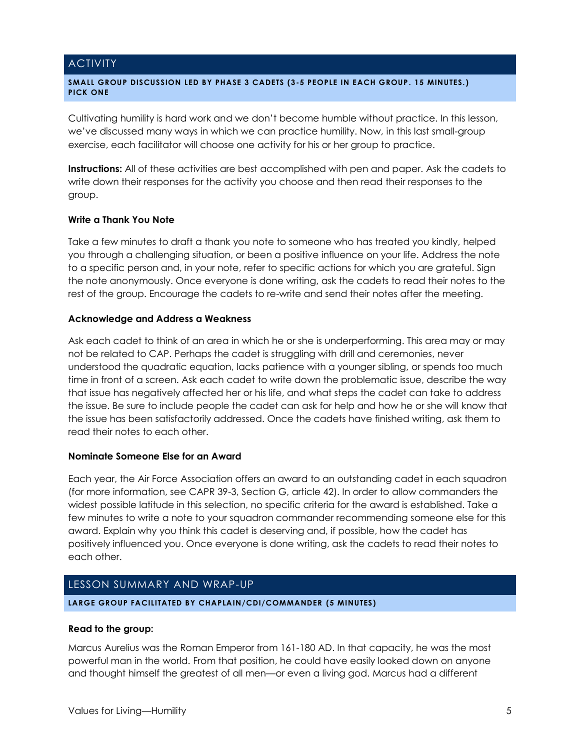## **ACTIVITY**

#### **SMALL GROUP DISCUSSION LED BY PHASE 3 CADETS (3-5 PEOPLE IN EACH GROUP. 15 MINUTES.) PICK ONE**

Cultivating humility is hard work and we don't become humble without practice. In this lesson, we've discussed many ways in which we can practice humility. Now, in this last small-group exercise, each facilitator will choose one activity for his or her group to practice.

**Instructions:** All of these activities are best accomplished with pen and paper. Ask the cadets to write down their responses for the activity you choose and then read their responses to the group.

## **Write a Thank You Note**

Take a few minutes to draft a thank you note to someone who has treated you kindly, helped you through a challenging situation, or been a positive influence on your life. Address the note to a specific person and, in your note, refer to specific actions for which you are grateful. Sign the note anonymously. Once everyone is done writing, ask the cadets to read their notes to the rest of the group. Encourage the cadets to re-write and send their notes after the meeting.

## **Acknowledge and Address a Weakness**

Ask each cadet to think of an area in which he or she is underperforming. This area may or may not be related to CAP. Perhaps the cadet is struggling with drill and ceremonies, never understood the quadratic equation, lacks patience with a younger sibling, or spends too much time in front of a screen. Ask each cadet to write down the problematic issue, describe the way that issue has negatively affected her or his life, and what steps the cadet can take to address the issue. Be sure to include people the cadet can ask for help and how he or she will know that the issue has been satisfactorily addressed. Once the cadets have finished writing, ask them to read their notes to each other.

## **Nominate Someone Else for an Award**

Each year, the Air Force Association offers an award to an outstanding cadet in each squadron (for more information, see CAPR 39-3, Section G, article 42). In order to allow commanders the widest possible latitude in this selection, no specific criteria for the award is established. Take a few minutes to write a note to your squadron commander recommending someone else for this award. Explain why you think this cadet is deserving and, if possible, how the cadet has positively influenced you. Once everyone is done writing, ask the cadets to read their notes to each other.

# LESSON SUMMARY AND WRAP-UP

## **LARGE GROUP FACILITATED BY CHAPLAIN/CDI/COMMANDER (5 MINUTES)**

## **Read to the group:**

Marcus Aurelius was the Roman Emperor from 161-180 AD. In that capacity, he was the most powerful man in the world. From that position, he could have easily looked down on anyone and thought himself the greatest of all men—or even a living god. Marcus had a different